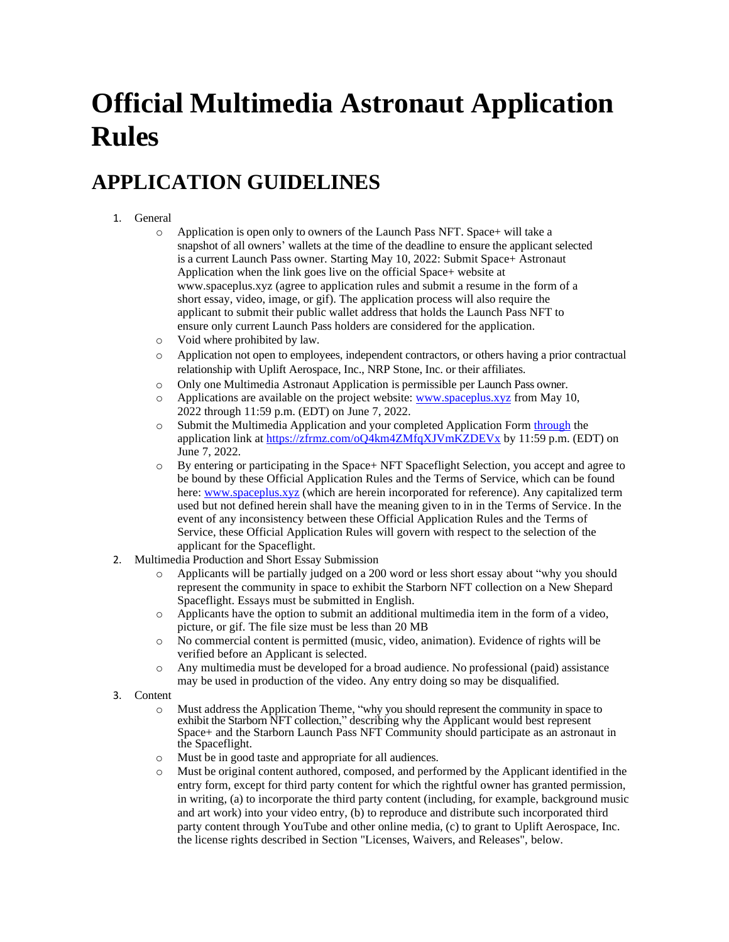# **Official Multimedia Astronaut Application Rules**

#### **APPLICATION GUIDELINES**

#### 1. General

- o Application is open only to owners of the Launch Pass NFT. Space+ will take a snapshot of all owners' wallets at the time of the deadline to ensure the applicant selected is a current Launch Pass owner. Starting May 10, 2022: Submit Space+ Astronaut Application when the link goes live on the official Space+ website at www.spaceplus.xyz (agree to application rules and submit a resume in the form of a short essay, video, image, or gif). The application process will also require the applicant to submit their public wallet address that holds the Launch Pass NFT to ensure only current Launch Pass holders are considered for the application.
- o Void where prohibited by law.
- o Application not open to employees, independent contractors, or others having a prior contractual relationship with Uplift Aerospace, Inc., NRP Stone, Inc. or their affiliates.
- o Only one Multimedia Astronaut Application is permissible per Launch Pass owner.
- $\circ$  Applications are available on the project website: [www.spaceplus.xyz](http://www.spaceplus.xyz/) from May 10, 2022 through 11:59 p.m. (EDT) on June 7, 2022.
- o Submit the Multimedia Application and your completed Application Form [through](mailto:through) the application link a[t https://zfrmz.com/oQ4km4ZMfqXJVmKZDEVx](https://zfrmz.com/oQ4km4ZMfqXJVmKZDEVx) by 11:59 p.m. (EDT) on June 7, 2022.
- o By entering or participating in the Space+ NFT Spaceflight Selection, you accept and agree to be bound by these Official Application Rules and the Terms of Service, which can be found here[: www.spaceplus.xyz](http://www.spaceplus.xyz/) (which are herein incorporated for reference). Any capitalized term used but not defined herein shall have the meaning given to in in the Terms of Service. In the event of any inconsistency between these Official Application Rules and the Terms of Service, these Official Application Rules will govern with respect to the selection of the applicant for the Spaceflight.
- 2. Multimedia Production and Short Essay Submission
	- o Applicants will be partially judged on a 200 word or less short essay about "why you should represent the community in space to exhibit the Starborn NFT collection on a New Shepard Spaceflight. Essays must be submitted in English.
	- o Applicants have the option to submit an additional multimedia item in the form of a video, picture, or gif. The file size must be less than 20 MB
	- o No commercial content is permitted (music, video, animation). Evidence of rights will be verified before an Applicant is selected.
	- o Any multimedia must be developed for a broad audience. No professional (paid) assistance may be used in production of the video. Any entry doing so may be disqualified.
- 3. Content
	- Must address the Application Theme, "why you should represent the community in space to exhibit the Starborn NFT collection," describing why the Applicant would best represent Space+ and the Starborn Launch Pass NFT Community should participate as an astronaut in the Spaceflight.
	- Must be in good taste and appropriate for all audiences.
	- Must be original content authored, composed, and performed by the Applicant identified in the entry form, except for third party content for which the rightful owner has granted permission, in writing, (a) to incorporate the third party content (including, for example, background music and art work) into your video entry, (b) to reproduce and distribute such incorporated third party content through YouTube and other online media, (c) to grant to Uplift Aerospace, Inc. the license rights described in Section "Licenses, Waivers, and Releases", below.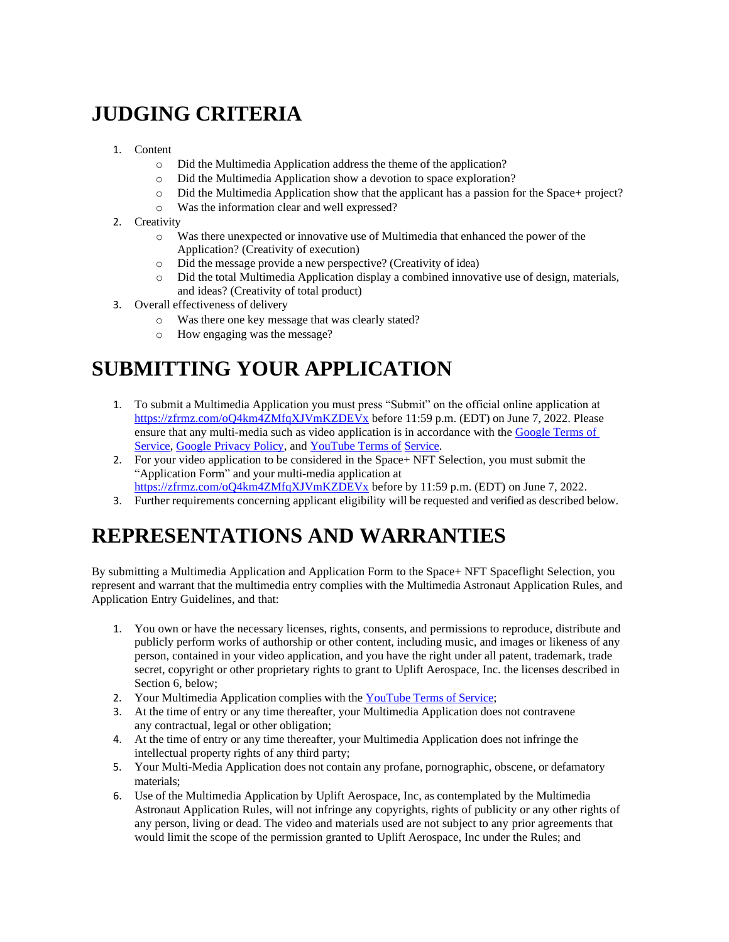## **JUDGING CRITERIA**

- 1. Content
	- o Did the Multimedia Application address the theme of the application?
	- o Did the Multimedia Application show a devotion to space exploration?
	- $\circ$  Did the Multimedia Application show that the applicant has a passion for the Space+ project?
	- o Was the information clear and well expressed?
- 2. Creativity
	- o Was there unexpected or innovative use of Multimedia that enhanced the power of the Application? (Creativity of execution)
	- o Did the message provide a new perspective? (Creativity of idea)
	- o Did the total Multimedia Application display a combined innovative use of design, materials, and ideas? (Creativity of total product)
- 3. Overall effectiveness of delivery
	- o Was there one key message that was clearly stated?
	- o How engaging was the message?

## **SUBMITTING YOUR APPLICATION**

- 1. To submit a Multimedia Application you must press "Submit" on the official online application at <https://zfrmz.com/oQ4km4ZMfqXJVmKZDEVx> before 11:59 p.m. (EDT) on June 7, 2022. Please ensure that any multi-media such as video application is in accordance with th[e Google Terms of](http://www.google.com/policies/terms/)  [Service,](http://www.google.com/policies/terms/) [Google Privacy Policy, a](http://www.google.com/policies/privacy/)n[d YouTube Terms of](https://www.youtube.com/static?template=terms) [Service.](https://www.youtube.com/static?template=terms)
- 2. For your video application to be considered in the Space+ NFT Selection, you must submit the "Application Form" and your multi-media application at
- <https://zfrmz.com/oQ4km4ZMfqXJVmKZDEVx> before by 11:59 p.m. (EDT) on June 7, 2022.
- 3. Further requirements concerning applicant eligibility will be requested and verified as described below.

#### **REPRESENTATIONS AND WARRANTIES**

By submitting a Multimedia Application and Application Form to the Space+ NFT Spaceflight Selection, you represent and warrant that the multimedia entry complies with the Multimedia Astronaut Application Rules, and Application Entry Guidelines, and that:

- 1. You own or have the necessary licenses, rights, consents, and permissions to reproduce, distribute and publicly perform works of authorship or other content, including music, and images or likeness of any person, contained in your video application, and you have the right under all patent, trademark, trade secret, copyright or other proprietary rights to grant to Uplift Aerospace, Inc. the licenses described in Section 6, below;
- 2. Your Multimedia Application complies with the [YouTube](https://www.youtube.com/static?template=terms) Terms of Service;
- 3. At the time of entry or any time thereafter, your Multimedia Application does not contravene any contractual, legal or other obligation;
- 4. At the time of entry or any time thereafter, your Multimedia Application does not infringe the intellectual property rights of any third party;
- 5. Your Multi-Media Application does not contain any profane, pornographic, obscene, or defamatory materials;
- 6. Use of the Multimedia Application by Uplift Aerospace, Inc, as contemplated by the Multimedia Astronaut Application Rules, will not infringe any copyrights, rights of publicity or any other rights of any person, living or dead. The video and materials used are not subject to any prior agreements that would limit the scope of the permission granted to Uplift Aerospace, Inc under the Rules; and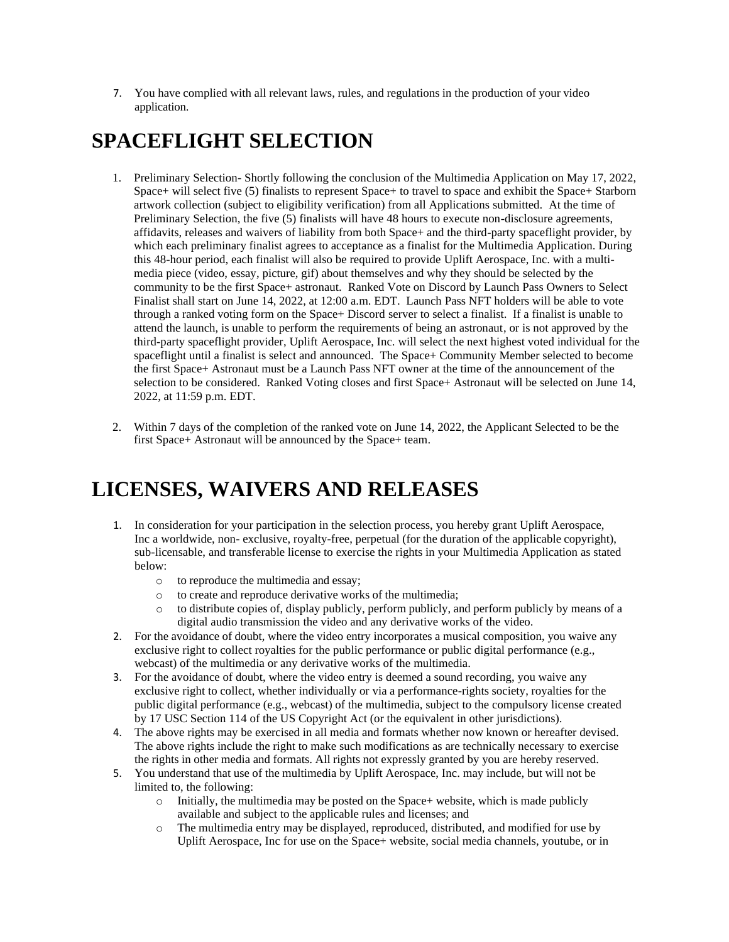7. You have complied with all relevant laws, rules, and regulations in the production of your video application.

### **SPACEFLIGHT SELECTION**

- 1. Preliminary Selection- Shortly following the conclusion of the Multimedia Application on May 17, 2022, Space+ will select five (5) finalists to represent Space+ to travel to space and exhibit the Space+ Starborn artwork collection (subject to eligibility verification) from all Applications submitted. At the time of Preliminary Selection, the five (5) finalists will have 48 hours to execute non-disclosure agreements, affidavits, releases and waivers of liability from both Space+ and the third-party spaceflight provider, by which each preliminary finalist agrees to acceptance as a finalist for the Multimedia Application. During this 48-hour period, each finalist will also be required to provide Uplift Aerospace, Inc. with a multimedia piece (video, essay, picture, gif) about themselves and why they should be selected by the community to be the first Space+ astronaut. Ranked Vote on Discord by Launch Pass Owners to Select Finalist shall start on June 14, 2022, at 12:00 a.m. EDT. Launch Pass NFT holders will be able to vote through a ranked voting form on the Space+ Discord server to select a finalist. If a finalist is unable to attend the launch, is unable to perform the requirements of being an astronaut, or is not approved by the third-party spaceflight provider, Uplift Aerospace, Inc. will select the next highest voted individual for the spaceflight until a finalist is select and announced. The Space+ Community Member selected to become the first Space+ Astronaut must be a Launch Pass NFT owner at the time of the announcement of the selection to be considered. Ranked Voting closes and first Space+ Astronaut will be selected on June 14, 2022, at 11:59 p.m. EDT.
- 2. Within 7 days of the completion of the ranked vote on June 14, 2022, the Applicant Selected to be the first Space+ Astronaut will be announced by the Space+ team.

#### **LICENSES, WAIVERS AND RELEASES**

- 1. In consideration for your participation in the selection process, you hereby grant Uplift Aerospace, Inc a worldwide, non- exclusive, royalty-free, perpetual (for the duration of the applicable copyright), sub-licensable, and transferable license to exercise the rights in your Multimedia Application as stated below:
	- o to reproduce the multimedia and essay;
	- o to create and reproduce derivative works of the multimedia;
	- $\circ$  to distribute copies of, display publicly, perform publicly, and perform publicly by means of a digital audio transmission the video and any derivative works of the video.
- 2. For the avoidance of doubt, where the video entry incorporates a musical composition, you waive any exclusive right to collect royalties for the public performance or public digital performance (e.g., webcast) of the multimedia or any derivative works of the multimedia.
- 3. For the avoidance of doubt, where the video entry is deemed a sound recording, you waive any exclusive right to collect, whether individually or via a performance-rights society, royalties for the public digital performance (e.g., webcast) of the multimedia, subject to the compulsory license created by 17 USC Section 114 of the US Copyright Act (or the equivalent in other jurisdictions).
- 4. The above rights may be exercised in all media and formats whether now known or hereafter devised. The above rights include the right to make such modifications as are technically necessary to exercise the rights in other media and formats. All rights not expressly granted by you are hereby reserved.
- 5. You understand that use of the multimedia by Uplift Aerospace, Inc. may include, but will not be limited to, the following:
	- $\circ$  Initially, the multimedia may be posted on the Space+ website, which is made publicly available and subject to the applicable rules and licenses; and
	- o The multimedia entry may be displayed, reproduced, distributed, and modified for use by Uplift Aerospace, Inc for use on the Space+ website, social media channels, youtube, or in